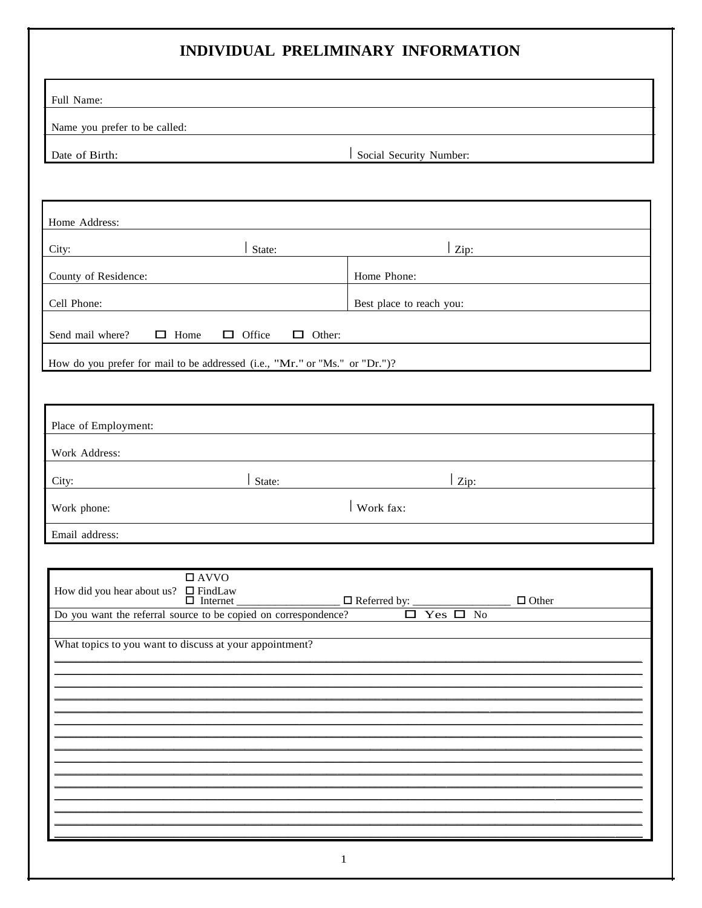| INDIVIDUAL PRELIMINARY INFORMATION                                          |                                     |  |
|-----------------------------------------------------------------------------|-------------------------------------|--|
| Full Name:                                                                  |                                     |  |
| Name you prefer to be called:                                               |                                     |  |
| Date of Birth:                                                              | Social Security Number:             |  |
|                                                                             |                                     |  |
| Home Address:                                                               |                                     |  |
| State:<br>City:                                                             | Zip:                                |  |
| County of Residence:                                                        | Home Phone:                         |  |
| Cell Phone:                                                                 | Best place to reach you:            |  |
| Send mail where?<br>$\Box$ Home<br>$\Box$ Office                            | $\Box$ Other:                       |  |
| How do you prefer for mail to be addressed (i.e., "Mr." or "Ms." or "Dr.")? |                                     |  |
|                                                                             |                                     |  |
| Place of Employment:                                                        |                                     |  |
| Work Address:                                                               |                                     |  |
| State:<br>City:                                                             | $ _{\mathrm{Zip: }}$                |  |
| Work phone:                                                                 | Work fax:                           |  |
| Email address:                                                              |                                     |  |
|                                                                             |                                     |  |
| $\Box$ AVVO<br>How did you hear about us? $\Box$ FindLaw<br>$\Box$ Internet | $\Box$ Referred by:<br>$\Box$ Other |  |
| Do you want the referral source to be copied on correspondence?             | $\Box$ Yes $\Box$ No                |  |
| What topics to you want to discuss at your appointment?                     |                                     |  |
|                                                                             |                                     |  |
|                                                                             |                                     |  |
|                                                                             |                                     |  |
|                                                                             |                                     |  |
|                                                                             |                                     |  |
|                                                                             |                                     |  |
|                                                                             |                                     |  |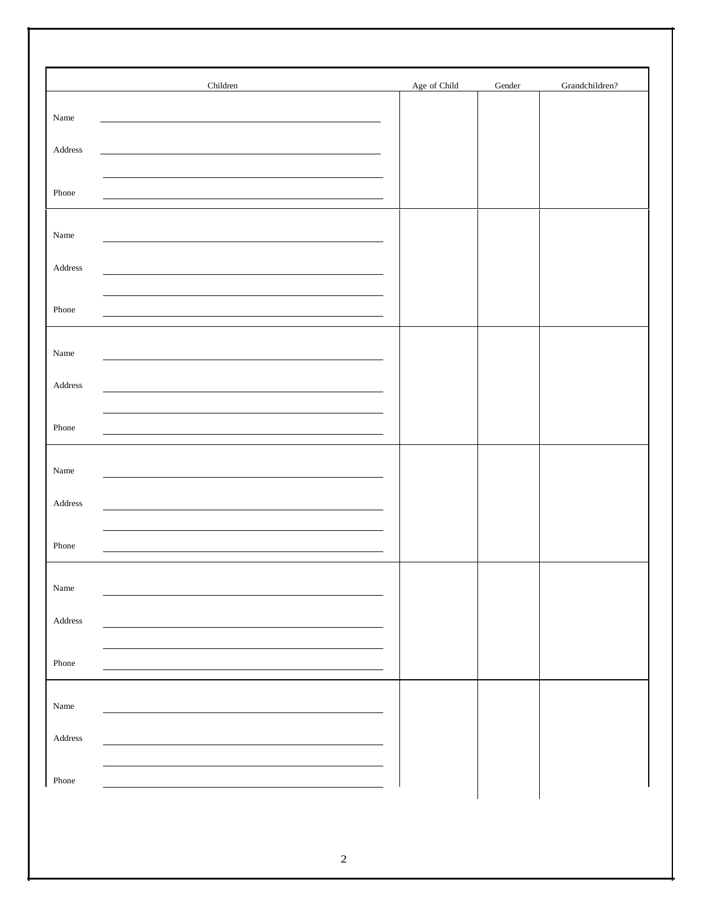|                                   | Children | Age of Child | $\mbox{Gender}$ | Grandchildren? |
|-----------------------------------|----------|--------------|-----------------|----------------|
| $\rm Name$                        |          |              |                 |                |
|                                   |          |              |                 |                |
| Address                           |          |              |                 |                |
| Phone                             |          |              |                 |                |
|                                   |          |              |                 |                |
| Name                              |          |              |                 |                |
| $\operatorname{\mathsf{Address}}$ |          |              |                 |                |
|                                   |          |              |                 |                |
| Phone                             |          |              |                 |                |
|                                   |          |              |                 |                |
| $\rm Name$                        |          |              |                 |                |
| Address                           |          |              |                 |                |
|                                   |          |              |                 |                |
| Phone                             |          |              |                 |                |
| $\rm Name$                        |          |              |                 |                |
| Address                           |          |              |                 |                |
|                                   |          |              |                 |                |
| Phone                             |          |              |                 |                |
|                                   |          |              |                 |                |
| $\rm Name$                        |          |              |                 |                |
| $\operatorname{\mathsf{Address}}$ |          |              |                 |                |
|                                   |          |              |                 |                |
| Phone                             |          |              |                 |                |
| $\rm Name$                        |          |              |                 |                |
|                                   |          |              |                 |                |
| $\operatorname{\mathsf{Address}}$ |          |              |                 |                |
| ${\tt Phone}$                     |          |              |                 |                |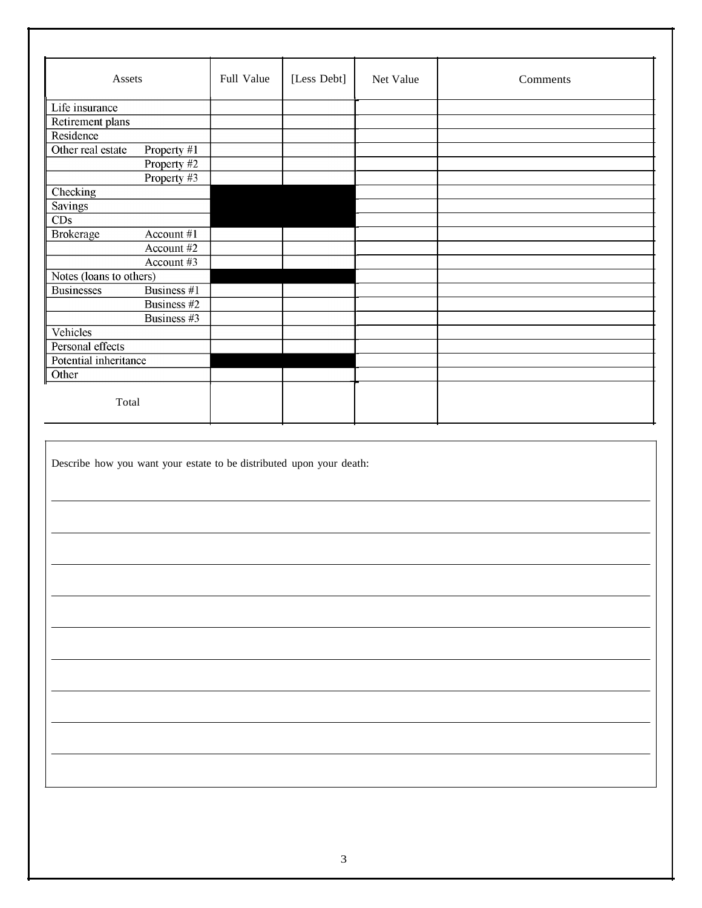| Assets                                                               | Full Value | [Less Debt] | Net Value | Comments |
|----------------------------------------------------------------------|------------|-------------|-----------|----------|
| Life insurance                                                       |            |             |           |          |
| Retirement plans                                                     |            |             |           |          |
| Residence                                                            |            |             |           |          |
| Other real estate<br>Property #1                                     |            |             |           |          |
| Property #2                                                          |            |             |           |          |
| Property #3                                                          |            |             |           |          |
| Checking                                                             |            |             |           |          |
| <b>Savings</b>                                                       |            |             |           |          |
| CDs                                                                  |            |             |           |          |
| <b>Brokerage</b><br>Account #1                                       |            |             |           |          |
| Account #2                                                           |            |             |           |          |
| Account #3                                                           |            |             |           |          |
| Notes (loans to others)                                              |            |             |           |          |
| Business #1<br><b>Businesses</b>                                     |            |             |           |          |
| Business #2<br>Business #3                                           |            |             |           |          |
|                                                                      |            |             |           |          |
| Vehicles<br>Personal effects                                         |            |             |           |          |
| Potential inheritance                                                |            |             |           |          |
| Other                                                                |            |             |           |          |
|                                                                      |            |             |           |          |
| Total                                                                |            |             |           |          |
| Describe how you want your estate to be distributed upon your death: |            |             |           |          |
|                                                                      |            |             |           |          |
|                                                                      |            |             |           |          |
|                                                                      |            |             |           |          |
|                                                                      |            |             |           |          |
|                                                                      |            |             |           |          |
|                                                                      |            |             |           |          |